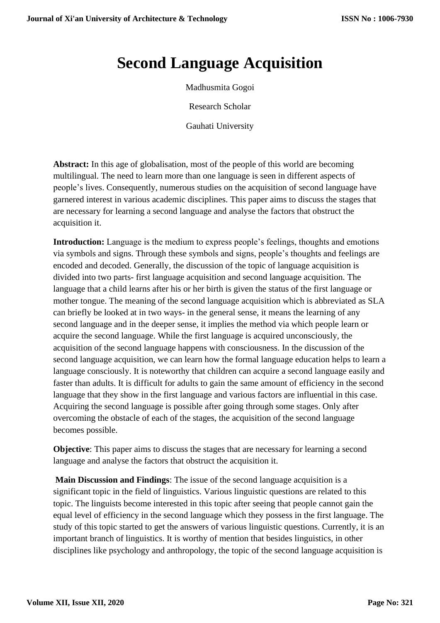## **Second Language Acquisition**

Madhusmita Gogoi

Research Scholar

Gauhati University

**Abstract:** In this age of globalisation, most of the people of this world are becoming multilingual. The need to learn more than one language is seen in different aspects of people's lives. Consequently, numerous studies on the acquisition of second language have garnered interest in various academic disciplines. This paper aims to discuss the stages that are necessary for learning a second language and analyse the factors that obstruct the acquisition it.

**Introduction:** Language is the medium to express people's feelings, thoughts and emotions via symbols and signs. Through these symbols and signs, people's thoughts and feelings are encoded and decoded. Generally, the discussion of the topic of language acquisition is divided into two parts- first language acquisition and second language acquisition. The language that a child learns after his or her birth is given the status of the first language or mother tongue. The meaning of the second language acquisition which is abbreviated as SLA can briefly be looked at in two ways- in the general sense, it means the learning of any second language and in the deeper sense, it implies the method via which people learn or acquire the second language. While the first language is acquired unconsciously, the acquisition of the second language happens with consciousness. In the discussion of the second language acquisition, we can learn how the formal language education helps to learn a language consciously. It is noteworthy that children can acquire a second language easily and faster than adults. It is difficult for adults to gain the same amount of efficiency in the second language that they show in the first language and various factors are influential in this case. Acquiring the second language is possible after going through some stages. Only after overcoming the obstacle of each of the stages, the acquisition of the second language becomes possible.

**Objective**: This paper aims to discuss the stages that are necessary for learning a second language and analyse the factors that obstruct the acquisition it.

**Main Discussion and Findings**: The issue of the second language acquisition is a significant topic in the field of linguistics. Various linguistic questions are related to this topic. The linguists become interested in this topic after seeing that people cannot gain the equal level of efficiency in the second language which they possess in the first language. The study of this topic started to get the answers of various linguistic questions. Currently, it is an important branch of linguistics. It is worthy of mention that besides linguistics, in other disciplines like psychology and anthropology, the topic of the second language acquisition is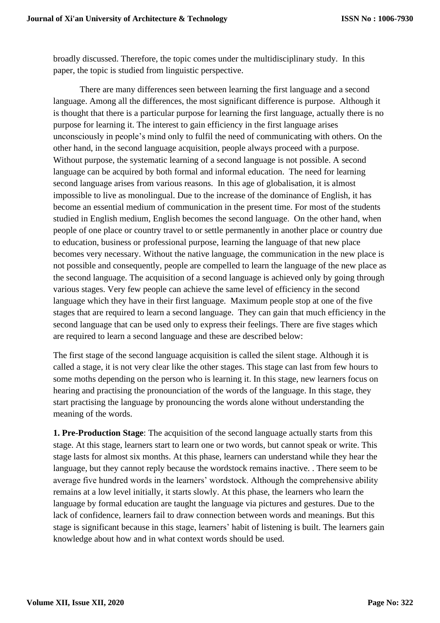broadly discussed. Therefore, the topic comes under the multidisciplinary study. In this paper, the topic is studied from linguistic perspective.

There are many differences seen between learning the first language and a second language. Among all the differences, the most significant difference is purpose. Although it is thought that there is a particular purpose for learning the first language, actually there is no purpose for learning it. The interest to gain efficiency in the first language arises unconsciously in people's mind only to fulfil the need of communicating with others. On the other hand, in the second language acquisition, people always proceed with a purpose. Without purpose, the systematic learning of a second language is not possible. A second language can be acquired by both formal and informal education. The need for learning second language arises from various reasons. In this age of globalisation, it is almost impossible to live as monolingual. Due to the increase of the dominance of English, it has become an essential medium of communication in the present time. For most of the students studied in English medium, English becomes the second language. On the other hand, when people of one place or country travel to or settle permanently in another place or country due to education, business or professional purpose, learning the language of that new place becomes very necessary. Without the native language, the communication in the new place is not possible and consequently, people are compelled to learn the language of the new place as the second language. The acquisition of a second language is achieved only by going through various stages. Very few people can achieve the same level of efficiency in the second language which they have in their first language. Maximum people stop at one of the five stages that are required to learn a second language. They can gain that much efficiency in the second language that can be used only to express their feelings. There are five stages which are required to learn a second language and these are described below:

The first stage of the second language acquisition is called the silent stage. Although it is called a stage, it is not very clear like the other stages. This stage can last from few hours to some moths depending on the person who is learning it. In this stage, new learners focus on hearing and practising the pronounciation of the words of the language. In this stage, they start practising the language by pronouncing the words alone without understanding the meaning of the words.

**1. Pre-Production Stage**: The acquisition of the second language actually starts from this stage. At this stage, learners start to learn one or two words, but cannot speak or write. This stage lasts for almost six months. At this phase, learners can understand while they hear the language, but they cannot reply because the wordstock remains inactive. . There seem to be average five hundred words in the learners' wordstock. Although the comprehensive ability remains at a low level initially, it starts slowly. At this phase, the learners who learn the language by formal education are taught the language via pictures and gestures. Due to the lack of confidence, learners fail to draw connection between words and meanings. But this stage is significant because in this stage, learners' habit of listening is built. The learners gain knowledge about how and in what context words should be used.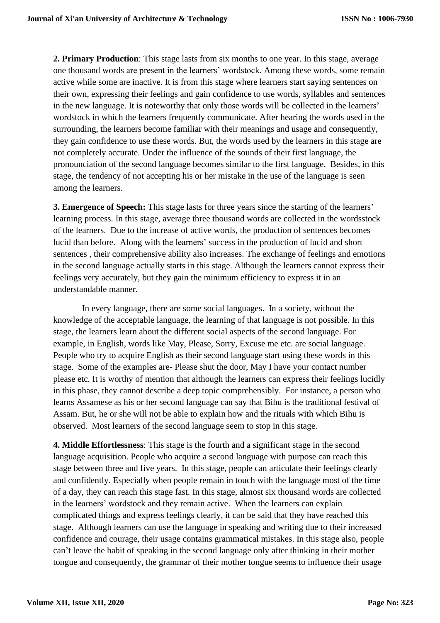**2. Primary Production**: This stage lasts from six months to one year. In this stage, average one thousand words are present in the learners' wordstock. Among these words, some remain active while some are inactive. It is from this stage where learners start saying sentences on their own, expressing their feelings and gain confidence to use words, syllables and sentences in the new language. It is noteworthy that only those words will be collected in the learners' wordstock in which the learners frequently communicate. After hearing the words used in the surrounding, the learners become familiar with their meanings and usage and consequently, they gain confidence to use these words. But, the words used by the learners in this stage are not completely accurate. Under the influence of the sounds of their first language, the pronounciation of the second language becomes similar to the first language. Besides, in this stage, the tendency of not accepting his or her mistake in the use of the language is seen among the learners.

**3. Emergence of Speech:** This stage lasts for three years since the starting of the learners' learning process. In this stage, average three thousand words are collected in the wordsstock of the learners. Due to the increase of active words, the production of sentences becomes lucid than before. Along with the learners' success in the production of lucid and short sentences , their comprehensive ability also increases. The exchange of feelings and emotions in the second language actually starts in this stage. Although the learners cannot express their feelings very accurately, but they gain the minimum efficiency to express it in an understandable manner.

In every language, there are some social languages. In a society, without the knowledge of the acceptable language, the learning of that language is not possible. In this stage, the learners learn about the different social aspects of the second language. For example, in English, words like May, Please, Sorry, Excuse me etc. are social language. People who try to acquire English as their second language start using these words in this stage. Some of the examples are- Please shut the door, May I have your contact number please etc. It is worthy of mention that although the learners can express their feelings lucidly in this phase, they cannot describe a deep topic comprehensibly. For instance, a person who learns Assamese as his or her second language can say that Bihu is the traditional festival of Assam. But, he or she will not be able to explain how and the rituals with which Bihu is observed. Most learners of the second language seem to stop in this stage.

**4. Middle Effortlessness**: This stage is the fourth and a significant stage in the second language acquisition. People who acquire a second language with purpose can reach this stage between three and five years. In this stage, people can articulate their feelings clearly and confidently. Especially when people remain in touch with the language most of the time of a day, they can reach this stage fast. In this stage, almost six thousand words are collected in the learners' wordstock and they remain active. When the learners can explain complicated things and express feelings clearly, it can be said that they have reached this stage. Although learners can use the language in speaking and writing due to their increased confidence and courage, their usage contains grammatical mistakes. In this stage also, people can't leave the habit of speaking in the second language only after thinking in their mother tongue and consequently, the grammar of their mother tongue seems to influence their usage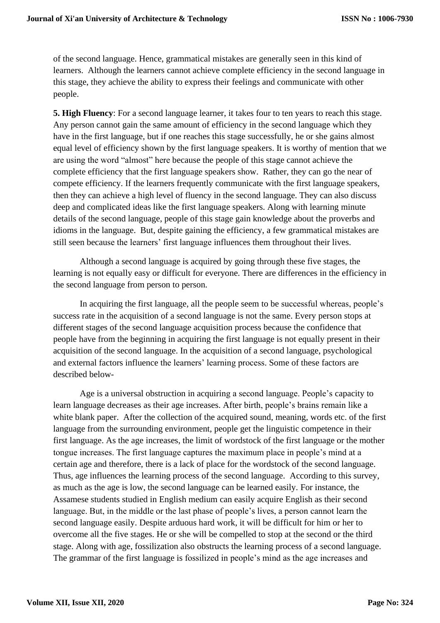of the second language. Hence, grammatical mistakes are generally seen in this kind of learners. Although the learners cannot achieve complete efficiency in the second language in this stage, they achieve the ability to express their feelings and communicate with other people.

**5. High Fluency**: For a second language learner, it takes four to ten years to reach this stage. Any person cannot gain the same amount of efficiency in the second language which they have in the first language, but if one reaches this stage successfully, he or she gains almost equal level of efficiency shown by the first language speakers. It is worthy of mention that we are using the word "almost" here because the people of this stage cannot achieve the complete efficiency that the first language speakers show. Rather, they can go the near of compete efficiency. If the learners frequently communicate with the first language speakers, then they can achieve a high level of fluency in the second language. They can also discuss deep and complicated ideas like the first language speakers. Along with learning minute details of the second language, people of this stage gain knowledge about the proverbs and idioms in the language. But, despite gaining the efficiency, a few grammatical mistakes are still seen because the learners' first language influences them throughout their lives.

Although a second language is acquired by going through these five stages, the learning is not equally easy or difficult for everyone. There are differences in the efficiency in the second language from person to person.

In acquiring the first language, all the people seem to be successful whereas, people's success rate in the acquisition of a second language is not the same. Every person stops at different stages of the second language acquisition process because the confidence that people have from the beginning in acquiring the first language is not equally present in their acquisition of the second language. In the acquisition of a second language, psychological and external factors influence the learners' learning process. Some of these factors are described below-

Age is a universal obstruction in acquiring a second language. People's capacity to learn language decreases as their age increases. After birth, people's brains remain like a white blank paper. After the collection of the acquired sound, meaning, words etc. of the first language from the surrounding environment, people get the linguistic competence in their first language. As the age increases, the limit of wordstock of the first language or the mother tongue increases. The first language captures the maximum place in people's mind at a certain age and therefore, there is a lack of place for the wordstock of the second language. Thus, age influences the learning process of the second language. According to this survey, as much as the age is low, the second language can be learned easily. For instance, the Assamese students studied in English medium can easily acquire English as their second language. But, in the middle or the last phase of people's lives, a person cannot learn the second language easily. Despite arduous hard work, it will be difficult for him or her to overcome all the five stages. He or she will be compelled to stop at the second or the third stage. Along with age, fossilization also obstructs the learning process of a second language. The grammar of the first language is fossilized in people's mind as the age increases and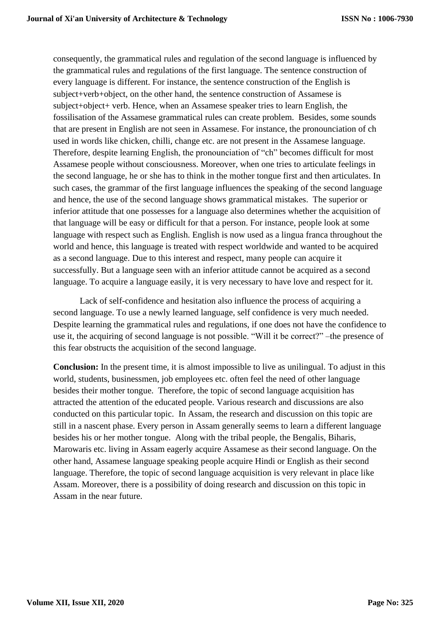consequently, the grammatical rules and regulation of the second language is influenced by the grammatical rules and regulations of the first language. The sentence construction of every language is different. For instance, the sentence construction of the English is subject+verb+object, on the other hand, the sentence construction of Assamese is subject+object+ verb. Hence, when an Assamese speaker tries to learn English, the fossilisation of the Assamese grammatical rules can create problem. Besides, some sounds that are present in English are not seen in Assamese. For instance, the pronounciation of ch used in words like chicken, chilli, change etc. are not present in the Assamese language. Therefore, despite learning English, the pronounciation of "ch" becomes difficult for most Assamese people without consciousness. Moreover, when one tries to articulate feelings in the second language, he or she has to think in the mother tongue first and then articulates. In such cases, the grammar of the first language influences the speaking of the second language and hence, the use of the second language shows grammatical mistakes. The superior or inferior attitude that one possesses for a language also determines whether the acquisition of that language will be easy or difficult for that a person. For instance, people look at some language with respect such as English. English is now used as a lingua franca throughout the world and hence, this language is treated with respect worldwide and wanted to be acquired as a second language. Due to this interest and respect, many people can acquire it successfully. But a language seen with an inferior attitude cannot be acquired as a second language. To acquire a language easily, it is very necessary to have love and respect for it.

Lack of self-confidence and hesitation also influence the process of acquiring a second language. To use a newly learned language, self confidence is very much needed. Despite learning the grammatical rules and regulations, if one does not have the confidence to use it, the acquiring of second language is not possible. "Will it be correct?" –the presence of this fear obstructs the acquisition of the second language.

**Conclusion:** In the present time, it is almost impossible to live as unilingual. To adjust in this world, students, businessmen, job employees etc. often feel the need of other language besides their mother tongue. Therefore, the topic of second language acquisition has attracted the attention of the educated people. Various research and discussions are also conducted on this particular topic. In Assam, the research and discussion on this topic are still in a nascent phase. Every person in Assam generally seems to learn a different language besides his or her mother tongue. Along with the tribal people, the Bengalis, Biharis, Marowaris etc. living in Assam eagerly acquire Assamese as their second language. On the other hand, Assamese language speaking people acquire Hindi or English as their second language. Therefore, the topic of second language acquisition is very relevant in place like Assam. Moreover, there is a possibility of doing research and discussion on this topic in Assam in the near future.